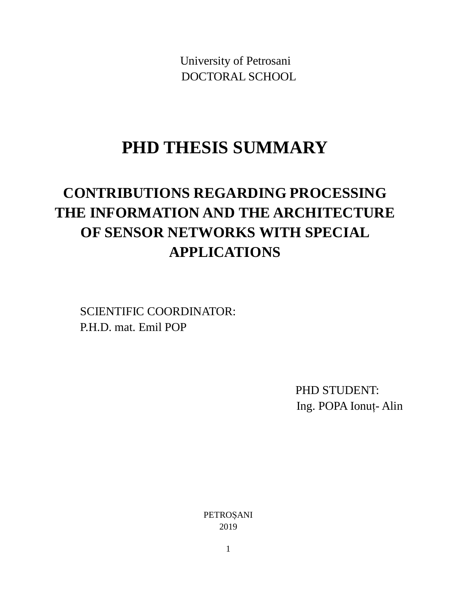University of Petrosani DOCTORAL SCHOOL

## **PHD THESIS SUMMARY**

# **CONTRIBUTIONS REGARDING PROCESSING THE INFORMATION AND THE ARCHITECTURE OF SENSOR NETWORKS WITH SPECIAL APPLICATIONS**

SCIENTIFIC COORDINATOR: P.H.D. mat. Emil POP

> PHD STUDENT: Ing. POPA Ionuț- Alin

PETROȘANI 2019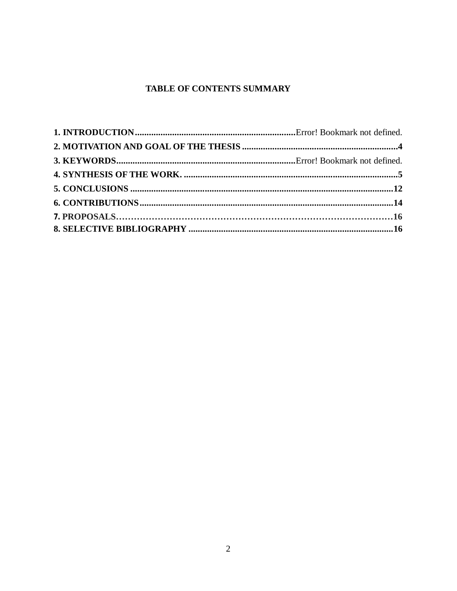## TABLE OF CONTENTS SUMMARY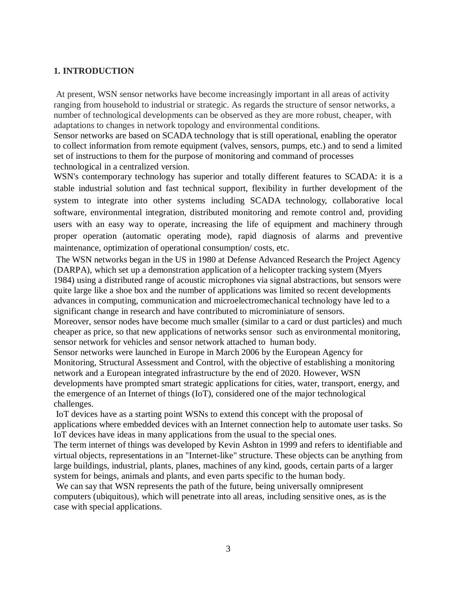#### **1. INTRODUCTION**

At present, WSN sensor networks have become increasingly important in all areas of activity ranging from household to industrial or strategic. As regards the structure of sensor networks, a number of technological developments can be observed as they are more robust, cheaper, with adaptations to changes in network topology and environmental conditions.

Sensor networks are based on SCADA technology that is still operational, enabling the operator to collect information from remote equipment (valves, sensors, pumps, etc.) and to send a limited set of instructions to them for the purpose of monitoring and command of processes technological in a centralized version.

WSN's contemporary technology has superior and totally different features to SCADA: it is a stable industrial solution and fast technical support, flexibility in further development of the system to integrate into other systems including SCADA technology, collaborative local software, environmental integration, distributed monitoring and remote control and, providing users with an easy way to operate, increasing the life of equipment and machinery through proper operation (automatic operating mode), rapid diagnosis of alarms and preventive maintenance, optimization of operational consumption/ costs, etc.

The WSN networks began in the US in 1980 at Defense Advanced Research the Project Agency (DARPA), which set up a demonstration application of a helicopter tracking system (Myers 1984) using a distributed range of acoustic microphones via signal abstractions, but sensors were quite large like a shoe box and the number of applications was limited so recent developments advances in computing, communication and microelectromechanical technology have led to a significant change in research and have contributed to microminiature of sensors.

Moreover, sensor nodes have become much smaller (similar to a card or dust particles) and much cheaper as price, so that new applications of networks sensor such as environmental monitoring, sensor network for vehicles and sensor network attached to human body.

Sensor networks were launched in Europe in March 2006 by the European Agency for Monitoring, Structural Assessment and Control, with the objective of establishing a monitoring network and a European integrated infrastructure by the end of 2020. However, WSN developments have prompted smart strategic applications for cities, water, transport, energy, and the emergence of an Internet of things (IoT), considered one of the major technological challenges.

IoT devices have as a starting point WSNs to extend this concept with the proposal of applications where embedded devices with an Internet connection help to automate user tasks. So IoT devices have ideas in many applications from the usual to the special ones.

The term internet of things was developed by Kevin Ashton in 1999 and refers to identifiable and virtual objects, representations in an "Internet-like" structure. These objects can be anything from large buildings, industrial, plants, planes, machines of any kind, goods, certain parts of a larger system for beings, animals and plants, and even parts specific to the human body.

We can say that WSN represents the path of the future, being universally omnipresent computers (ubiquitous), which will penetrate into all areas, including sensitive ones, as is the case with special applications.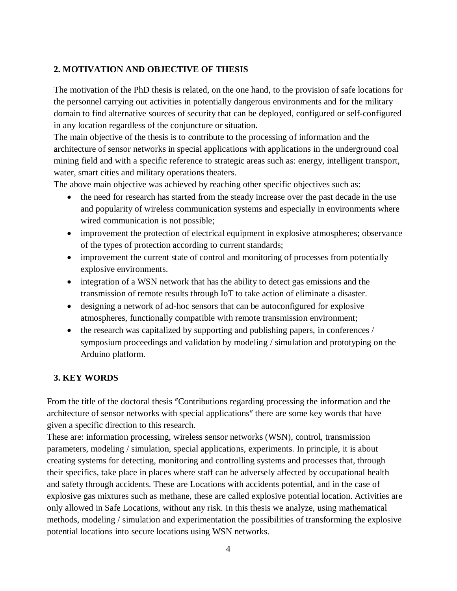## **2. MOTIVATION AND OBJECTIVE OF THESIS**

The motivation of the PhD thesis is related, on the one hand, to the provision of safe locations for the personnel carrying out activities in potentially dangerous environments and for the military domain to find alternative sources of security that can be deployed, configured or self-configured in any location regardless of the conjuncture or situation.

The main objective of the thesis is to contribute to the processing of information and the architecture of sensor networks in special applications with applications in the underground coal mining field and with a specific reference to strategic areas such as: energy, intelligent transport, water, smart cities and military operations theaters.

The above main objective was achieved by reaching other specific objectives such as:

- the need for research has started from the steady increase over the past decade in the use and popularity of wireless communication systems and especially in environments where wired communication is not possible;
- improvement the protection of electrical equipment in explosive atmospheres; observance of the types of protection according to current standards;
- improvement the current state of control and monitoring of processes from potentially explosive environments.
- integration of a WSN network that has the ability to detect gas emissions and the transmission of remote results through IoT to take action of eliminate a disaster.
- designing a network of ad-hoc sensors that can be autoconfigured for explosive atmospheres, functionally compatible with remote transmission environment;
- the research was capitalized by supporting and publishing papers, in conferences / symposium proceedings and validation by modeling / simulation and prototyping on the Arduino platform.

## **3. KEY WORDS**

From the title of the doctoral thesis "Contributions regarding processing the information and the architecture of sensor networks with special applications" there are some key words that have given a specific direction to this research.

These are: information processing, wireless sensor networks (WSN), control, transmission parameters, modeling / simulation, special applications, experiments. In principle, it is about creating systems for detecting, monitoring and controlling systems and processes that, through their specifics, take place in places where staff can be adversely affected by occupational health and safety through accidents. These are Locations with accidents potential, and in the case of explosive gas mixtures such as methane, these are called explosive potential location. Activities are only allowed in Safe Locations, without any risk. In this thesis we analyze, using mathematical methods, modeling / simulation and experimentation the possibilities of transforming the explosive potential locations into secure locations using WSN networks.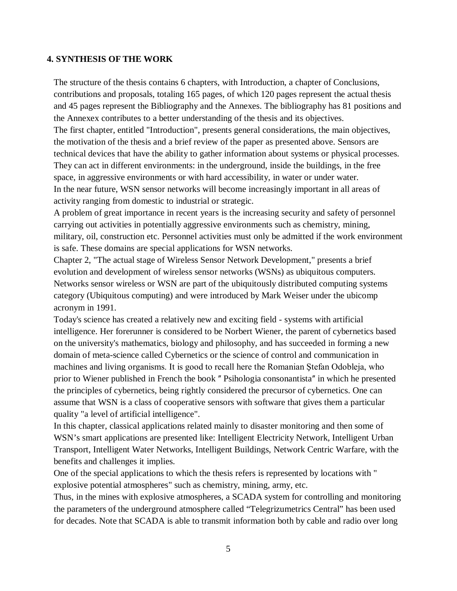#### **4. SYNTHESIS OF THE WORK**

The structure of the thesis contains 6 chapters, with Introduction, a chapter of Conclusions, contributions and proposals, totaling 165 pages, of which 120 pages represent the actual thesis and 45 pages represent the Bibliography and the Annexes. The bibliography has 81 positions and the Annexex contributes to a better understanding of the thesis and its objectives. The first chapter, entitled "Introduction", presents general considerations, the main objectives, the motivation of the thesis and a brief review of the paper as presented above. Sensors are technical devices that have the ability to gather information about systems or physical processes. They can act in different environments: in the underground, inside the buildings, in the free space, in aggressive environments or with hard accessibility, in water or under water. In the near future, WSN sensor networks will become increasingly important in all areas of activity ranging from domestic to industrial or strategic.

A problem of great importance in recent years is the increasing security and safety of personnel carrying out activities in potentially aggressive environments such as chemistry, mining, military, oil, construction etc. Personnel activities must only be admitted if the work environment is safe. These domains are special applications for WSN networks.

Chapter 2, "The actual stage of Wireless Sensor Network Development," presents a brief evolution and development of wireless sensor networks (WSNs) as ubiquitous computers. Networks sensor wireless or WSN are part of the ubiquitously distributed computing systems category (Ubiquitous computing) and were introduced by Mark Weiser under the ubicomp acronym in 1991.

Today's science has created a relatively new and exciting field - systems with artificial intelligence. Her forerunner is considered to be Norbert Wiener, the parent of cybernetics based on the university's mathematics, biology and philosophy, and has succeeded in forming a new domain of meta-science called Cybernetics or the science of control and communication in machines and living organisms. It is good to recall here the Romanian Ştefan Odobleja, who prior to Wiener published in French the book " Psihologia consonantista" in which he presented the principles of cybernetics, being rightly considered the precursor of cybernetics. One can assume that WSN is a class of cooperative sensors with software that gives them a particular quality "a level of artificial intelligence".

In this chapter, classical applications related mainly to disaster monitoring and then some of WSN's smart applications are presented like: Intelligent Electricity Network, Intelligent Urban Transport, Intelligent Water Networks, Intelligent Buildings, Network Centric Warfare, with the benefits and challenges it implies.

One of the special applications to which the thesis refers is represented by locations with " explosive potential atmospheres" such as chemistry, mining, army, etc.

Thus, in the mines with explosive atmospheres, a SCADA system for controlling and monitoring the parameters of the underground atmosphere called "Telegrizumetrics Central" has been used for decades. Note that SCADA is able to transmit information both by cable and radio over long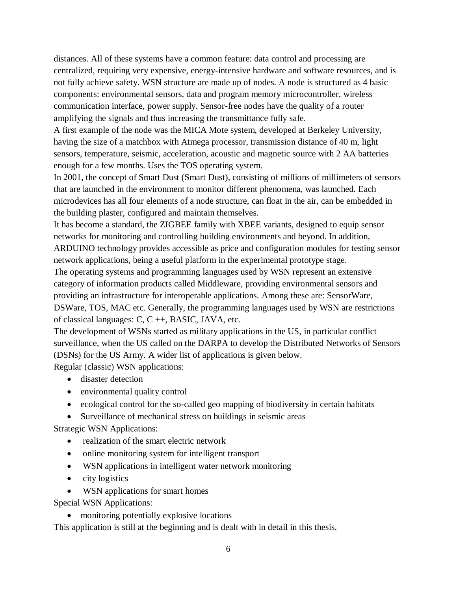distances. All of these systems have a common feature: data control and processing are centralized, requiring very expensive, energy-intensive hardware and software resources, and is not fully achieve safety. WSN structure are made up of nodes. A node is structured as 4 basic components: environmental sensors, data and program memory microcontroller, wireless communication interface, power supply. Sensor-free nodes have the quality of a router amplifying the signals and thus increasing the transmittance fully safe.

A first example of the node was the MICA Mote system, developed at Berkeley University, having the size of a matchbox with Atmega processor, transmission distance of 40 m, light sensors, temperature, seismic, acceleration, acoustic and magnetic source with 2 AA batteries enough for a few months. Uses the TOS operating system.

In 2001, the concept of Smart Dust (Smart Dust), consisting of millions of millimeters of sensors that are launched in the environment to monitor different phenomena, was launched. Each microdevices has all four elements of a node structure, can float in the air, can be embedded in the building plaster, configured and maintain themselves.

It has become a standard, the ZIGBEE family with XBEE variants, designed to equip sensor networks for monitoring and controlling building environments and beyond. In addition, ARDUINO technology provides accessible as price and configuration modules for testing sensor network applications, being a useful platform in the experimental prototype stage.

The operating systems and programming languages used by WSN represent an extensive category of information products called Middleware, providing environmental sensors and providing an infrastructure for interoperable applications. Among these are: SensorWare, DSWare, TOS, MAC etc. Generally, the programming languages used by WSN are restrictions of classical languages: C, C ++, BASIC, JAVA, etc.

The development of WSNs started as military applications in the US, in particular conflict surveillance, when the US called on the DARPA to develop the Distributed Networks of Sensors (DSNs) for the US Army. A wider list of applications is given below.

Regular (classic) WSN applications:

- disaster detection
- environmental quality control
- ecological control for the so-called geo mapping of biodiversity in certain habitats
- Surveillance of mechanical stress on buildings in seismic areas

Strategic WSN Applications:

- realization of the smart electric network
- online monitoring system for intelligent transport
- WSN applications in intelligent water network monitoring
- city logistics
- WSN applications for smart homes

Special WSN Applications:

• monitoring potentially explosive locations

This application is still at the beginning and is dealt with in detail in this thesis.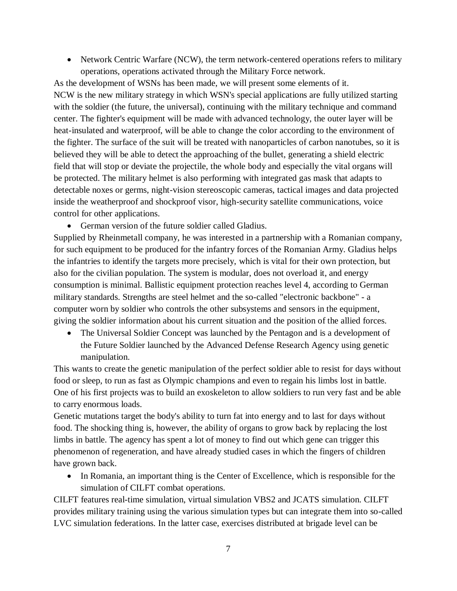• Network Centric Warfare (NCW), the term network-centered operations refers to military operations, operations activated through the Military Force network.

As the development of WSNs has been made, we will present some elements of it. NCW is the new military strategy in which WSN's special applications are fully utilized starting with the soldier (the future, the universal), continuing with the military technique and command center. The fighter's equipment will be made with advanced technology, the outer layer will be heat-insulated and waterproof, will be able to change the color according to the environment of the fighter. The surface of the suit will be treated with nanoparticles of carbon nanotubes, so it is believed they will be able to detect the approaching of the bullet, generating a shield electric field that will stop or deviate the projectile, the whole body and especially the vital organs will be protected. The military helmet is also performing with integrated gas mask that adapts to detectable noxes or germs, night-vision stereoscopic cameras, tactical images and data projected inside the weatherproof and shockproof visor, high-security satellite communications, voice control for other applications.

German version of the future soldier called Gladius.

Supplied by Rheinmetall company, he was interested in a partnership with a Romanian company, for such equipment to be produced for the infantry forces of the Romanian Army. Gladius helps the infantries to identify the targets more precisely, which is vital for their own protection, but also for the civilian population. The system is modular, does not overload it, and energy consumption is minimal. Ballistic equipment protection reaches level 4, according to German military standards. Strengths are steel helmet and the so-called "electronic backbone" - a computer worn by soldier who controls the other subsystems and sensors in the equipment, giving the soldier information about his current situation and the position of the allied forces.

 The Universal Soldier Concept was launched by the Pentagon and is a development of the Future Soldier launched by the Advanced Defense Research Agency using genetic manipulation.

This wants to create the genetic manipulation of the perfect soldier able to resist for days without food or sleep, to run as fast as Olympic champions and even to regain his limbs lost in battle. One of his first projects was to build an exoskeleton to allow soldiers to run very fast and be able to carry enormous loads.

Genetic mutations target the body's ability to turn fat into energy and to last for days without food. The shocking thing is, however, the ability of organs to grow back by replacing the lost limbs in battle. The agency has spent a lot of money to find out which gene can trigger this phenomenon of regeneration, and have already studied cases in which the fingers of children have grown back.

• In Romania, an important thing is the Center of Excellence, which is responsible for the simulation of CILFT combat operations.

CILFT features real-time simulation, virtual simulation VBS2 and JCATS simulation. CILFT provides military training using the various simulation types but can integrate them into so-called LVC simulation federations. In the latter case, exercises distributed at brigade level can be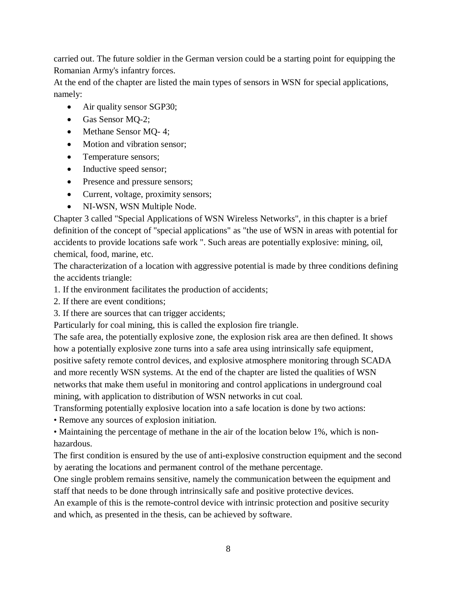carried out. The future soldier in the German version could be a starting point for equipping the Romanian Army's infantry forces.

At the end of the chapter are listed the main types of sensors in WSN for special applications, namely:

- Air quality sensor SGP30;
- Gas Sensor MQ-2;
- Methane Sensor MQ-4;
- Motion and vibration sensor;
- Temperature sensors;
- Inductive speed sensor;
- Presence and pressure sensors;
- Current, voltage, proximity sensors;
- NI-WSN, WSN Multiple Node.

Chapter 3 called "Special Applications of WSN Wireless Networks", in this chapter is a brief definition of the concept of "special applications" as "the use of WSN in areas with potential for accidents to provide locations safe work ". Such areas are potentially explosive: mining, oil, chemical, food, marine, etc.

The characterization of a location with aggressive potential is made by three conditions defining the accidents triangle:

- 1. If the environment facilitates the production of accidents;
- 2. If there are event conditions;
- 3. If there are sources that can trigger accidents;

Particularly for coal mining, this is called the explosion fire triangle.

The safe area, the potentially explosive zone, the explosion risk area are then defined. It shows how a potentially explosive zone turns into a safe area using intrinsically safe equipment, positive safety remote control devices, and explosive atmosphere monitoring through SCADA and more recently WSN systems. At the end of the chapter are listed the qualities of WSN networks that make them useful in monitoring and control applications in underground coal mining, with application to distribution of WSN networks in cut coal.

Transforming potentially explosive location into a safe location is done by two actions:

• Remove any sources of explosion initiation.

• Maintaining the percentage of methane in the air of the location below 1%, which is nonhazardous.

The first condition is ensured by the use of anti-explosive construction equipment and the second by aerating the locations and permanent control of the methane percentage.

One single problem remains sensitive, namely the communication between the equipment and staff that needs to be done through intrinsically safe and positive protective devices.

An example of this is the remote-control device with intrinsic protection and positive security and which, as presented in the thesis, can be achieved by software.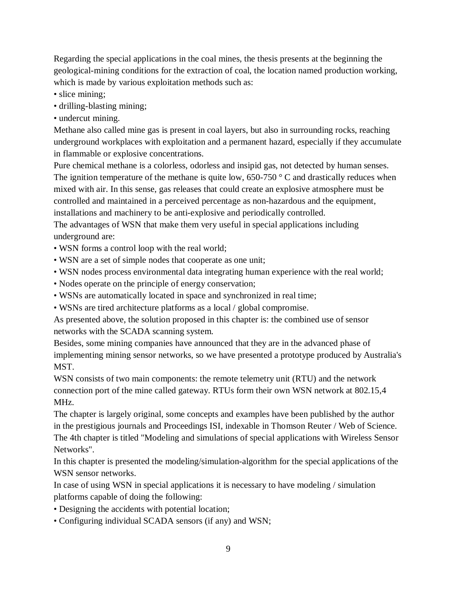Regarding the special applications in the coal mines, the thesis presents at the beginning the geological-mining conditions for the extraction of coal, the location named production working, which is made by various exploitation methods such as:

- slice mining;
- drilling-blasting mining;
- undercut mining.

Methane also called mine gas is present in coal layers, but also in surrounding rocks, reaching underground workplaces with exploitation and a permanent hazard, especially if they accumulate in flammable or explosive concentrations.

Pure chemical methane is a colorless, odorless and insipid gas, not detected by human senses. The ignition temperature of the methane is quite low,  $650-750$  ° C and drastically reduces when mixed with air. In this sense, gas releases that could create an explosive atmosphere must be controlled and maintained in a perceived percentage as non-hazardous and the equipment, installations and machinery to be anti-explosive and periodically controlled.

The advantages of WSN that make them very useful in special applications including underground are:

- WSN forms a control loop with the real world;
- WSN are a set of simple nodes that cooperate as one unit;
- WSN nodes process environmental data integrating human experience with the real world;
- Nodes operate on the principle of energy conservation;
- WSNs are automatically located in space and synchronized in real time;
- WSNs are tired architecture platforms as a local / global compromise.

As presented above, the solution proposed in this chapter is: the combined use of sensor networks with the SCADA scanning system.

Besides, some mining companies have announced that they are in the advanced phase of implementing mining sensor networks, so we have presented a prototype produced by Australia's MST.

WSN consists of two main components: the remote telemetry unit (RTU) and the network connection port of the mine called gateway. RTUs form their own WSN network at 802.15,4 MHz.

The chapter is largely original, some concepts and examples have been published by the author in the prestigious journals and Proceedings ISI, indexable in Thomson Reuter / Web of Science. The 4th chapter is titled "Modeling and simulations of special applications with Wireless Sensor Networks".

In this chapter is presented the modeling/simulation-algorithm for the special applications of the WSN sensor networks.

In case of using WSN in special applications it is necessary to have modeling / simulation platforms capable of doing the following:

- Designing the accidents with potential location;
- Configuring individual SCADA sensors (if any) and WSN;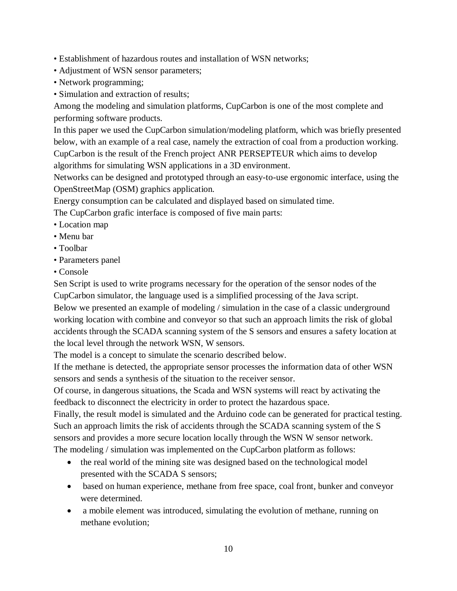- Establishment of hazardous routes and installation of WSN networks;
- Adjustment of WSN sensor parameters;
- Network programming;
- Simulation and extraction of results;

Among the modeling and simulation platforms, CupCarbon is one of the most complete and performing software products.

In this paper we used the CupCarbon simulation/modeling platform, which was briefly presented below, with an example of a real case, namely the extraction of coal from a production working. CupCarbon is the result of the French project ANR PERSEPTEUR which aims to develop algorithms for simulating WSN applications in a 3D environment.

Networks can be designed and prototyped through an easy-to-use ergonomic interface, using the OpenStreetMap (OSM) graphics application.

Energy consumption can be calculated and displayed based on simulated time.

The CupCarbon grafic interface is composed of five main parts:

- Location map
- Menu bar
- Toolbar
- Parameters panel
- Console

Sen Script is used to write programs necessary for the operation of the sensor nodes of the CupCarbon simulator, the language used is a simplified processing of the Java script.

Below we presented an example of modeling / simulation in the case of a classic underground working location with combine and conveyor so that such an approach limits the risk of global accidents through the SCADA scanning system of the S sensors and ensures a safety location at the local level through the network WSN, W sensors.

The model is a concept to simulate the scenario described below.

If the methane is detected, the appropriate sensor processes the information data of other WSN sensors and sends a synthesis of the situation to the receiver sensor.

Of course, in dangerous situations, the Scada and WSN systems will react by activating the feedback to disconnect the electricity in order to protect the hazardous space.

Finally, the result model is simulated and the Arduino code can be generated for practical testing. Such an approach limits the risk of accidents through the SCADA scanning system of the S sensors and provides a more secure location locally through the WSN W sensor network. The modeling / simulation was implemented on the CupCarbon platform as follows:

- the real world of the mining site was designed based on the technological model presented with the SCADA S sensors;
- based on human experience, methane from free space, coal front, bunker and conveyor were determined.
- a mobile element was introduced, simulating the evolution of methane, running on methane evolution;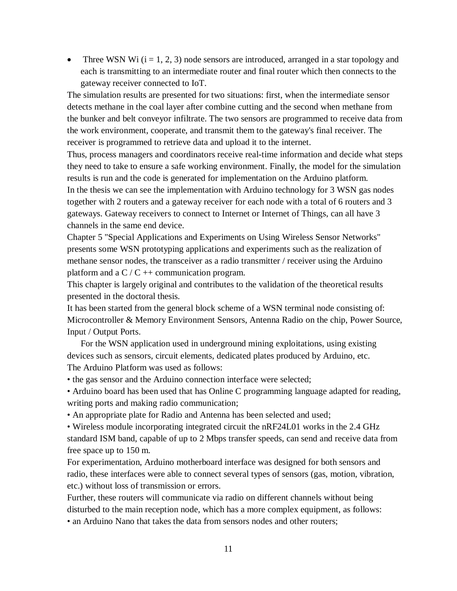• Three WSN Wi  $(i = 1, 2, 3)$  node sensors are introduced, arranged in a star topology and each is transmitting to an intermediate router and final router which then connects to the gateway receiver connected to IoT.

The simulation results are presented for two situations: first, when the intermediate sensor detects methane in the coal layer after combine cutting and the second when methane from the bunker and belt conveyor infiltrate. The two sensors are programmed to receive data from the work environment, cooperate, and transmit them to the gateway's final receiver. The receiver is programmed to retrieve data and upload it to the internet.

Thus, process managers and coordinators receive real-time information and decide what steps they need to take to ensure a safe working environment. Finally, the model for the simulation results is run and the code is generated for implementation on the Arduino platform. In the thesis we can see the implementation with Arduino technology for 3 WSN gas nodes together with 2 routers and a gateway receiver for each node with a total of 6 routers and 3 gateways. Gateway receivers to connect to Internet or Internet of Things, can all have 3 channels in the same end device.

Chapter 5 "Special Applications and Experiments on Using Wireless Sensor Networks" presents some WSN prototyping applications and experiments such as the realization of methane sensor nodes, the transceiver as a radio transmitter / receiver using the Arduino platform and a  $C / C$  ++ communication program.

This chapter is largely original and contributes to the validation of the theoretical results presented in the doctoral thesis.

It has been started from the general block scheme of a WSN terminal node consisting of: Microcontroller & Memory Environment Sensors, Antenna Radio on the chip, Power Source, Input / Output Ports.

 For the WSN application used in underground mining exploitations, using existing devices such as sensors, circuit elements, dedicated plates produced by Arduino, etc. The Arduino Platform was used as follows:

• the gas sensor and the Arduino connection interface were selected;

• Arduino board has been used that has Online C programming language adapted for reading, writing ports and making radio communication;

• An appropriate plate for Radio and Antenna has been selected and used;

• Wireless module incorporating integrated circuit the nRF24L01 works in the 2.4 GHz standard ISM band, capable of up to 2 Mbps transfer speeds, can send and receive data from free space up to 150 m.

For experimentation, Arduino motherboard interface was designed for both sensors and radio, these interfaces were able to connect several types of sensors (gas, motion, vibration, etc.) without loss of transmission or errors.

Further, these routers will communicate via radio on different channels without being disturbed to the main reception node, which has a more complex equipment, as follows:

• an Arduino Nano that takes the data from sensors nodes and other routers;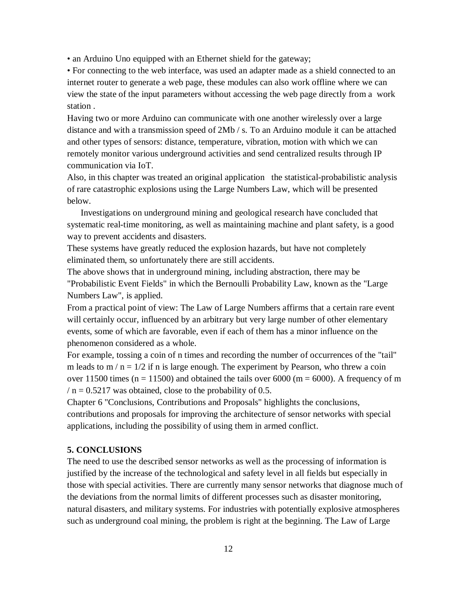• an Arduino Uno equipped with an Ethernet shield for the gateway;

• For connecting to the web interface, was used an adapter made as a shield connected to an internet router to generate a web page, these modules can also work offline where we can view the state of the input parameters without accessing the web page directly from a work station .

Having two or more Arduino can communicate with one another wirelessly over a large distance and with a transmission speed of 2Mb / s. To an Arduino module it can be attached and other types of sensors: distance, temperature, vibration, motion with which we can remotely monitor various underground activities and send centralized results through IP communication via IoT.

Also, in this chapter was treated an original application the statistical-probabilistic analysis of rare catastrophic explosions using the Large Numbers Law, which will be presented below.

 Investigations on underground mining and geological research have concluded that systematic real-time monitoring, as well as maintaining machine and plant safety, is a good way to prevent accidents and disasters.

These systems have greatly reduced the explosion hazards, but have not completely eliminated them, so unfortunately there are still accidents.

The above shows that in underground mining, including abstraction, there may be "Probabilistic Event Fields" in which the Bernoulli Probability Law, known as the "Large Numbers Law", is applied.

From a practical point of view: The Law of Large Numbers affirms that a certain rare event will certainly occur, influenced by an arbitrary but very large number of other elementary events, some of which are favorable, even if each of them has a minor influence on the phenomenon considered as a whole.

For example, tossing a coin of n times and recording the number of occurrences of the "tail" m leads to  $m / n = 1/2$  if n is large enough. The experiment by Pearson, who threw a coin over 11500 times ( $n = 11500$ ) and obtained the tails over 6000 ( $m = 6000$ ). A frequency of m  $/$  n = 0.5217 was obtained, close to the probability of 0.5.

Chapter 6 "Conclusions, Contributions and Proposals" highlights the conclusions, contributions and proposals for improving the architecture of sensor networks with special applications, including the possibility of using them in armed conflict.

#### **5. CONCLUSIONS**

The need to use the described sensor networks as well as the processing of information is justified by the increase of the technological and safety level in all fields but especially in those with special activities. There are currently many sensor networks that diagnose much of the deviations from the normal limits of different processes such as disaster monitoring, natural disasters, and military systems. For industries with potentially explosive atmospheres such as underground coal mining, the problem is right at the beginning. The Law of Large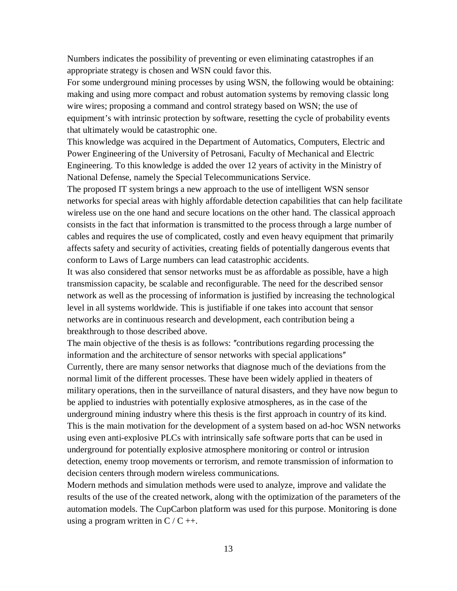Numbers indicates the possibility of preventing or even eliminating catastrophes if an appropriate strategy is chosen and WSN could favor this.

For some underground mining processes by using WSN, the following would be obtaining: making and using more compact and robust automation systems by removing classic long wire wires; proposing a command and control strategy based on WSN; the use of equipment's with intrinsic protection by software, resetting the cycle of probability events that ultimately would be catastrophic one.

This knowledge was acquired in the Department of Automatics, Computers, Electric and Power Engineering of the University of Petrosani, Faculty of Mechanical and Electric Engineering. To this knowledge is added the over 12 years of activity in the Ministry of National Defense, namely the Special Telecommunications Service.

The proposed IT system brings a new approach to the use of intelligent WSN sensor networks for special areas with highly affordable detection capabilities that can help facilitate wireless use on the one hand and secure locations on the other hand. The classical approach consists in the fact that information is transmitted to the process through a large number of cables and requires the use of complicated, costly and even heavy equipment that primarily affects safety and security of activities, creating fields of potentially dangerous events that conform to Laws of Large numbers can lead catastrophic accidents.

It was also considered that sensor networks must be as affordable as possible, have a high transmission capacity, be scalable and reconfigurable. The need for the described sensor network as well as the processing of information is justified by increasing the technological level in all systems worldwide. This is justifiable if one takes into account that sensor networks are in continuous research and development, each contribution being a breakthrough to those described above.

The main objective of the thesis is as follows: "contributions regarding processing the information and the architecture of sensor networks with special applications" Currently, there are many sensor networks that diagnose much of the deviations from the normal limit of the different processes. These have been widely applied in theaters of military operations, then in the surveillance of natural disasters, and they have now begun to be applied to industries with potentially explosive atmospheres, as in the case of the underground mining industry where this thesis is the first approach in country of its kind. This is the main motivation for the development of a system based on ad-hoc WSN networks using even anti-explosive PLCs with intrinsically safe software ports that can be used in underground for potentially explosive atmosphere monitoring or control or intrusion detection, enemy troop movements or terrorism, and remote transmission of information to decision centers through modern wireless communications.

Modern methods and simulation methods were used to analyze, improve and validate the results of the use of the created network, along with the optimization of the parameters of the automation models. The CupCarbon platform was used for this purpose. Monitoring is done using a program written in  $C / C$  ++.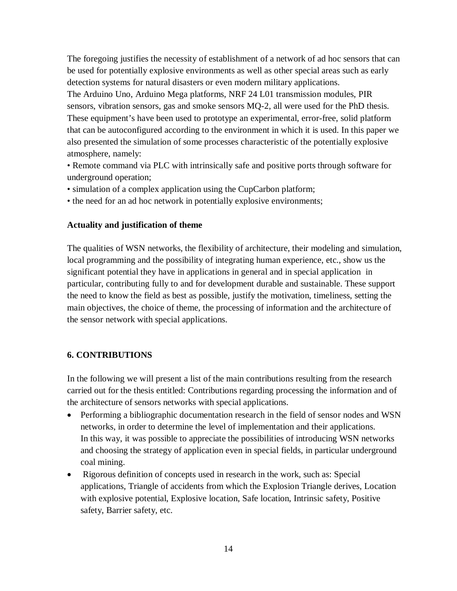The foregoing justifies the necessity of establishment of a network of ad hoc sensors that can be used for potentially explosive environments as well as other special areas such as early detection systems for natural disasters or even modern military applications. The Arduino Uno, Arduino Mega platforms, NRF 24 L01 transmission modules, PIR sensors, vibration sensors, gas and smoke sensors MQ-2, all were used for the PhD thesis. These equipment's have been used to prototype an experimental, error-free, solid platform that can be autoconfigured according to the environment in which it is used. In this paper we also presented the simulation of some processes characteristic of the potentially explosive atmosphere, namely:

• Remote command via PLC with intrinsically safe and positive ports through software for underground operation;

- simulation of a complex application using the CupCarbon platform;
- the need for an ad hoc network in potentially explosive environments;

## **Actuality and justification of theme**

The qualities of WSN networks, the flexibility of architecture, their modeling and simulation, local programming and the possibility of integrating human experience, etc., show us the significant potential they have in applications in general and in special application in particular, contributing fully to and for development durable and sustainable. These support the need to know the field as best as possible, justify the motivation, timeliness, setting the main objectives, the choice of theme, the processing of information and the architecture of the sensor network with special applications.

## **6. CONTRIBUTIONS**

In the following we will present a list of the main contributions resulting from the research carried out for the thesis entitled: Contributions regarding processing the information and of the architecture of sensors networks with special applications.

- Performing a bibliographic documentation research in the field of sensor nodes and WSN networks, in order to determine the level of implementation and their applications. In this way, it was possible to appreciate the possibilities of introducing WSN networks and choosing the strategy of application even in special fields, in particular underground coal mining.
- Rigorous definition of concepts used in research in the work, such as: Special applications, Triangle of accidents from which the Explosion Triangle derives, Location with explosive potential, Explosive location, Safe location, Intrinsic safety, Positive safety, Barrier safety, etc.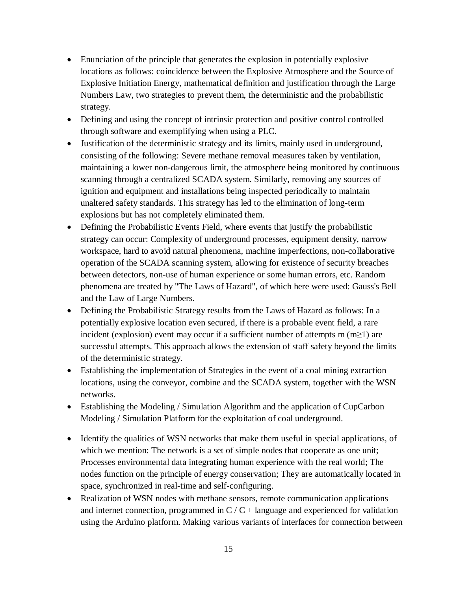- Enunciation of the principle that generates the explosion in potentially explosive locations as follows: coincidence between the Explosive Atmosphere and the Source of Explosive Initiation Energy, mathematical definition and justification through the Large Numbers Law, two strategies to prevent them, the deterministic and the probabilistic strategy.
- Defining and using the concept of intrinsic protection and positive control controlled through software and exemplifying when using a PLC.
- Justification of the deterministic strategy and its limits, mainly used in underground, consisting of the following: Severe methane removal measures taken by ventilation, maintaining a lower non-dangerous limit, the atmosphere being monitored by continuous scanning through a centralized SCADA system. Similarly, removing any sources of ignition and equipment and installations being inspected periodically to maintain unaltered safety standards. This strategy has led to the elimination of long-term explosions but has not completely eliminated them.
- Defining the Probabilistic Events Field, where events that justify the probabilistic strategy can occur: Complexity of underground processes, equipment density, narrow workspace, hard to avoid natural phenomena, machine imperfections, non-collaborative operation of the SCADA scanning system, allowing for existence of security breaches between detectors, non-use of human experience or some human errors, etc. Random phenomena are treated by "The Laws of Hazard", of which here were used: Gauss's Bell and the Law of Large Numbers.
- Defining the Probabilistic Strategy results from the Laws of Hazard as follows: In a potentially explosive location even secured, if there is a probable event field, a rare incident (explosion) event may occur if a sufficient number of attempts m  $(m\geq 1)$  are successful attempts. This approach allows the extension of staff safety beyond the limits of the deterministic strategy.
- Establishing the implementation of Strategies in the event of a coal mining extraction locations, using the conveyor, combine and the SCADA system, together with the WSN networks.
- Establishing the Modeling / Simulation Algorithm and the application of CupCarbon Modeling / Simulation Platform for the exploitation of coal underground.
- Identify the qualities of WSN networks that make them useful in special applications, of which we mention: The network is a set of simple nodes that cooperate as one unit; Processes environmental data integrating human experience with the real world; The nodes function on the principle of energy conservation; They are automatically located in space, synchronized in real-time and self-configuring.
- Realization of WSN nodes with methane sensors, remote communication applications and internet connection, programmed in  $C/C +$  language and experienced for validation using the Arduino platform. Making various variants of interfaces for connection between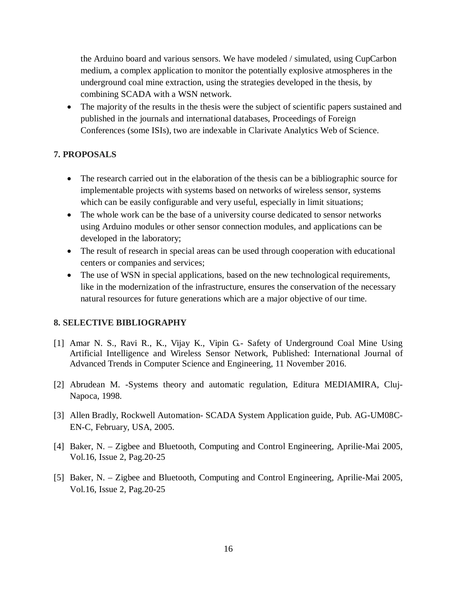the Arduino board and various sensors. We have modeled / simulated, using CupCarbon medium, a complex application to monitor the potentially explosive atmospheres in the underground coal mine extraction, using the strategies developed in the thesis, by combining SCADA with a WSN network.

• The majority of the results in the thesis were the subject of scientific papers sustained and published in the journals and international databases, Proceedings of Foreign Conferences (some ISIs), two are indexable in Clarivate Analytics Web of Science.

## **7. PROPOSALS**

- The research carried out in the elaboration of the thesis can be a bibliographic source for implementable projects with systems based on networks of wireless sensor, systems which can be easily configurable and very useful, especially in limit situations;
- The whole work can be the base of a university course dedicated to sensor networks using Arduino modules or other sensor connection modules, and applications can be developed in the laboratory;
- The result of research in special areas can be used through cooperation with educational centers or companies and services;
- The use of WSN in special applications, based on the new technological requirements, like in the modernization of the infrastructure, ensures the conservation of the necessary natural resources for future generations which are a major objective of our time.

## **8. SELECTIVE BIBLIOGRAPHY**

- [1] Amar N. S., Ravi R., K., Vijay K., Vipin G.- Safety of Underground Coal Mine Using Artificial Intelligence and Wireless Sensor Network, Published: International Journal of Advanced Trends in Computer Science and Engineering, 11 November 2016.
- [2] Abrudean M. -Systems theory and automatic regulation, Editura MEDIAMIRA, Cluj-Napoca, 1998.
- [3] Allen Bradly, Rockwell Automation- SCADA System Application guide, Pub. AG-UM08C-EN-C, February, USA, 2005.
- [4] Baker, N. Zigbee and Bluetooth, Computing and Control Engineering, Aprilie-Mai 2005, Vol.16, Issue 2, Pag.20-25
- [5] Baker, N. Zigbee and Bluetooth, Computing and Control Engineering, Aprilie-Mai 2005, Vol.16, Issue 2, Pag.20-25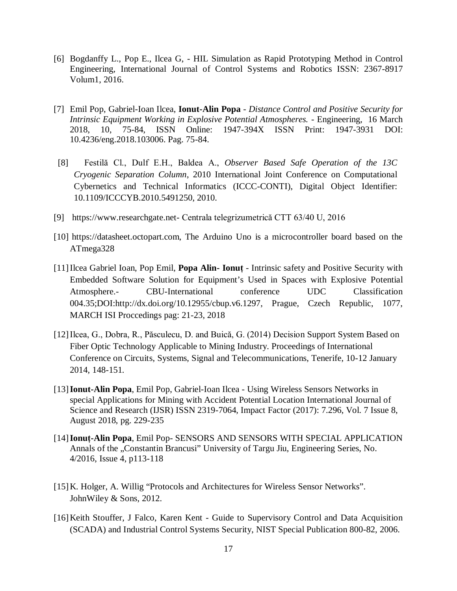- [6] Bogdanffy L., Pop E., Ilcea G, HIL Simulation as Rapid Prototyping Method in Control Engineering, International Journal of Control Systems and Robotics ISSN: 2367-8917 Volum1, 2016.
- [7] Emil Pop, Gabriel-Ioan Ilcea, **Ionut-Alin Popa** *Distance Control and Positive Security for Intrinsic Equipment Working in Explosive Potential Atmospheres.* - Engineering, 16 March 2018, 10, 75-84, ISSN Online: 1947-394X ISSN Print: 1947-3931 DOI: 10.4236/eng.2018.103006. Pag. 75-84.
- [8] Festilă Cl., Dulf E.H., Baldea A., *Observer Based Safe Operation of the 13C Cryogenic Separation Column*, 2010 International Joint Conference on Computational Cybernetics and Technical Informatics (ICCC-CONTI), Digital Object Identifier: 10.1109/ICCCYB.2010.5491250, 2010.
- [9] <https://www.researchgate.net-> Centrala telegrizumetrică CTT 63/40 U, 2016
- [10] <https://datasheet.octopart.com,> The Arduino Uno is a microcontroller board based on the ATmega328
- [11]Ilcea Gabriel Ioan, Pop Emil, **Popa Alin- Ionuț** Intrinsic safety and Positive Security with Embedded Software Solution for Equipment's Used in Spaces with Explosive Potential Atmosphere.- CBU-International conference UDC Classification 004.35;DOI:<http://dx.doi.org/10.12955/cbup.v6.1297,> Prague, Czech Republic, 1077, MARCH ISI Proccedings pag: 21-23, 2018
- [12]Ilcea, G., Dobra, R., Păsculecu, D. and Buică, G. (2014) Decision Support System Based on Fiber Optic Technology Applicable to Mining Industry. Proceedings of International Conference on Circuits, Systems, Signal and Telecommunications, Tenerife, 10-12 January 2014, 148-151.
- [13]**Ionut-Alin Popa**, Emil Pop, Gabriel-Ioan Ilcea Using Wireless Sensors Networks in special Applications for Mining with Accident Potential Location International Journal of Science and Research (IJSR) ISSN 2319-7064, Impact Factor (2017): 7.296, Vol. 7 Issue 8, August 2018, pg. 229-235
- [14]**Ionuț-Alin Popa**, Emil Pop- SENSORS AND SENSORS WITH SPECIAL APPLICATION Annals of the "Constantin Brancusi" University of Targu Jiu, Engineering Series, No. 4/2016, Issue 4, p113-118
- [15]K. Holger, A. Willig "Protocols and Architectures for Wireless Sensor Networks". JohnWiley & Sons, 2012.
- [16]Keith Stouffer, J Falco, Karen Kent Guide to Supervisory Control and Data Acquisition (SCADA) and Industrial Control Systems Security, NIST Special Publication 800-82, 2006.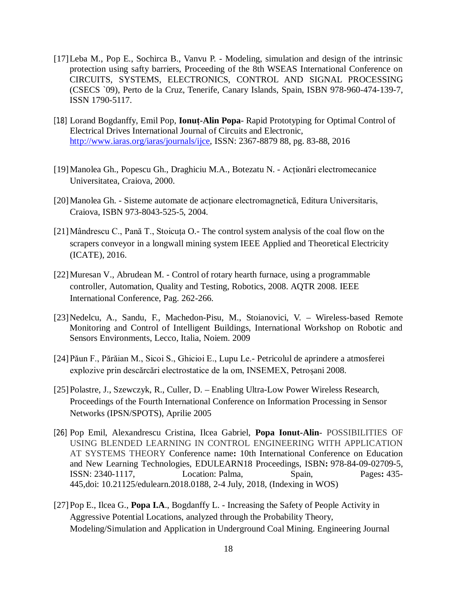- [17]Leba M., Pop E., Sochirca B., Vanvu P. Modeling, simulation and design of the intrinsic protection using safty barriers, Proceeding of the 8th WSEAS International Conference on CIRCUITS, SYSTEMS, ELECTRONICS, CONTROL AND SIGNAL PROCESSING (CSECS `09), Perto de la Cruz, Tenerife, Canary Islands, Spain, ISBN 978-960-474-139-7, ISSN 1790-5117.
- [18] Lorand Bogdanffy, Emil Pop, **Ionuț-Alin Popa** Rapid Prototyping for Optimal Control of Electrical Drives International Journal of Circuits and Electronic, <http://www.iaras.org/iaras/journals/ijce,> ISSN: 2367-8879 88, pg. 83-88, 2016
- [19]Manolea Gh., Popescu Gh., Draghiciu M.A., Botezatu N. Acționări electromecanice Universitatea, Craiova, 2000.
- [20]Manolea Gh. Sisteme automate de acționare electromagnetică, Editura Universitaris, Craiova, ISBN 973-8043-525-5, 2004.
- [21]Mândrescu C., Pană T., Stoicuța O.- The control system analysis of the coal flow on the scrapers conveyor in a longwall mining system IEEE Applied and Theoretical Electricity (ICATE), 2016.
- [22]Muresan V., Abrudean M. Control of rotary hearth furnace, using a programmable controller, Automation, Quality and Testing, Robotics, 2008. AQTR 2008. IEEE International Conference, Pag. 262-266.
- [23]Nedelcu, A., Sandu, F., Machedon-Pisu, M., Stoianovici, V. Wireless-based Remote Monitoring and Control of Intelligent Buildings, International Workshop on Robotic and Sensors Environments, Lecco, Italia, Noiem. 2009
- [24]Păun F., Părăian M., Sicoi S., Ghicioi E., Lupu Le.- Petricolul de aprindere a atmosferei explozive prin descărcări electrostatice de la om, INSEMEX, Petroșani 2008.
- [25]Polastre, J., Szewczyk, R., Culler, D. Enabling Ultra-Low Power Wireless Research, Proceedings of the Fourth International Conference on Information Processing in Sensor Networks (IPSN/SPOTS), Aprilie 2005
- [26] Pop Emil, Alexandrescu Cristina, Ilcea Gabriel, **Popa Ionut-Alin** POSSIBILITIES OF USING BLENDED LEARNING IN CONTROL ENGINEERING WITH APPLICATION AT SYSTEMS THEORY Conference name**:** 10th International Conference on Education and New Learning Technologies, EDULEARN18 Proceedings, ISBN**:** 978-84-09-02709-5, ISSN: 2340-1117, Location: Palma, Spain, Pages**:** 435- 445,doi: 10.21125/edulearn.2018.0188, 2-4 July, 2018, (Indexing in WOS)
- [27]Pop E., Ilcea G., **Popa I.A**., Bogdanffy L. Increasing the Safety of People Activity in Aggressive Potential Locations, analyzed through the Probability Theory, Modeling/Simulation and Application in Underground Coal Mining. Engineering Journal